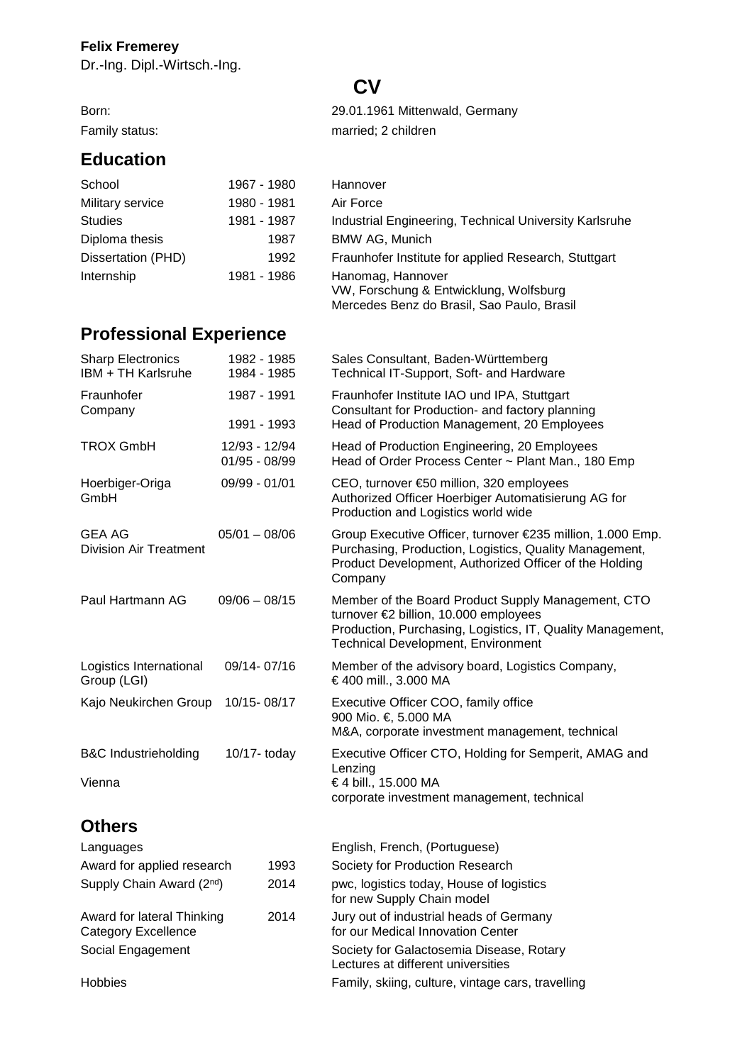## **Felix Fremerey**

**Education** 

Dr.-Ing. Dipl.-Wirtsch.-Ing.

## **CV**

Born: 29.01.1961 Mittenwald, Germany Family status: married; 2 children

| School             | 1967 - 1980 | Hannover                                                                                                  |
|--------------------|-------------|-----------------------------------------------------------------------------------------------------------|
| Military service   | 1980 - 1981 | Air Force                                                                                                 |
| <b>Studies</b>     | 1981 - 1987 | Industrial Engineering, Technical University Karlsruhe                                                    |
| Diploma thesis     | 1987        | <b>BMW AG, Munich</b>                                                                                     |
| Dissertation (PHD) | 1992        | Fraunhofer Institute for applied Research, Stuttgart                                                      |
| Internship         | 1981 - 1986 | Hanomag, Hannover<br>VW, Forschung & Entwicklung, Wolfsburg<br>Mercedes Benz do Brasil, Sao Paulo, Brasil |

## **Professional Experience**

| <b>Sharp Electronics</b><br>IBM + TH Karlsruhe                   | 1982 - 1985<br>1984 - 1985     | Sales Consultant, Baden-Württemberg<br>Technical IT-Support, Soft- and Hardware                                                                                                                        |
|------------------------------------------------------------------|--------------------------------|--------------------------------------------------------------------------------------------------------------------------------------------------------------------------------------------------------|
| Fraunhofer<br>Company                                            | 1987 - 1991<br>1991 - 1993     | Fraunhofer Institute IAO und IPA, Stuttgart<br>Consultant for Production- and factory planning<br>Head of Production Management, 20 Employees                                                          |
| <b>TROX GmbH</b>                                                 | 12/93 - 12/94<br>01/95 - 08/99 | Head of Production Engineering, 20 Employees<br>Head of Order Process Center ~ Plant Man., 180 Emp                                                                                                     |
| Hoerbiger-Origa<br>GmbH                                          | 09/99 - 01/01                  | CEO, turnover €50 million, 320 employees<br>Authorized Officer Hoerbiger Automatisierung AG for<br>Production and Logistics world wide                                                                 |
| GEA AG<br><b>Division Air Treatment</b>                          | $05/01 - 08/06$                | Group Executive Officer, turnover €235 million, 1.000 Emp.<br>Purchasing, Production, Logistics, Quality Management,<br>Product Development, Authorized Officer of the Holding<br>Company              |
| Paul Hartmann AG                                                 | $09/06 - 08/15$                | Member of the Board Product Supply Management, CTO<br>turnover €2 billion, 10.000 employees<br>Production, Purchasing, Logistics, IT, Quality Management,<br><b>Technical Development, Environment</b> |
| Logistics International<br>Group (LGI)                           | 09/14-07/16                    | Member of the advisory board, Logistics Company,<br>€ 400 mill., 3.000 MA                                                                                                                              |
| Kajo Neukirchen Group                                            | 10/15-08/17                    | Executive Officer COO, family office<br>900 Mio. €, 5.000 MA<br>M&A, corporate investment management, technical                                                                                        |
| <b>B&amp;C Industrieholding</b><br>Vienna                        | $10/17 -$ today                | Executive Officer CTO, Holding for Semperit, AMAG and<br>Lenzing<br>€ 4 bill., 15.000 MA<br>corporate investment management, technical                                                                 |
| <b>Others</b>                                                    |                                |                                                                                                                                                                                                        |
| Languages                                                        |                                | English, French, (Portuguese)                                                                                                                                                                          |
| Award for applied research<br>1993                               |                                | Society for Production Research                                                                                                                                                                        |
| Supply Chain Award (2nd)<br>2014                                 |                                | pwc, logistics today, House of logistics<br>for new Supply Chain model                                                                                                                                 |
| 2014<br>Award for lateral Thinking<br><b>Category Excellence</b> |                                | Jury out of industrial heads of Germany<br>for our Medical Innovation Center                                                                                                                           |
| Social Engagement                                                |                                | Society for Galactosemia Disease, Rotary<br>Lectures at different universities                                                                                                                         |
| <b>Hobbies</b>                                                   |                                | Family, skiing, culture, vintage cars, travelling                                                                                                                                                      |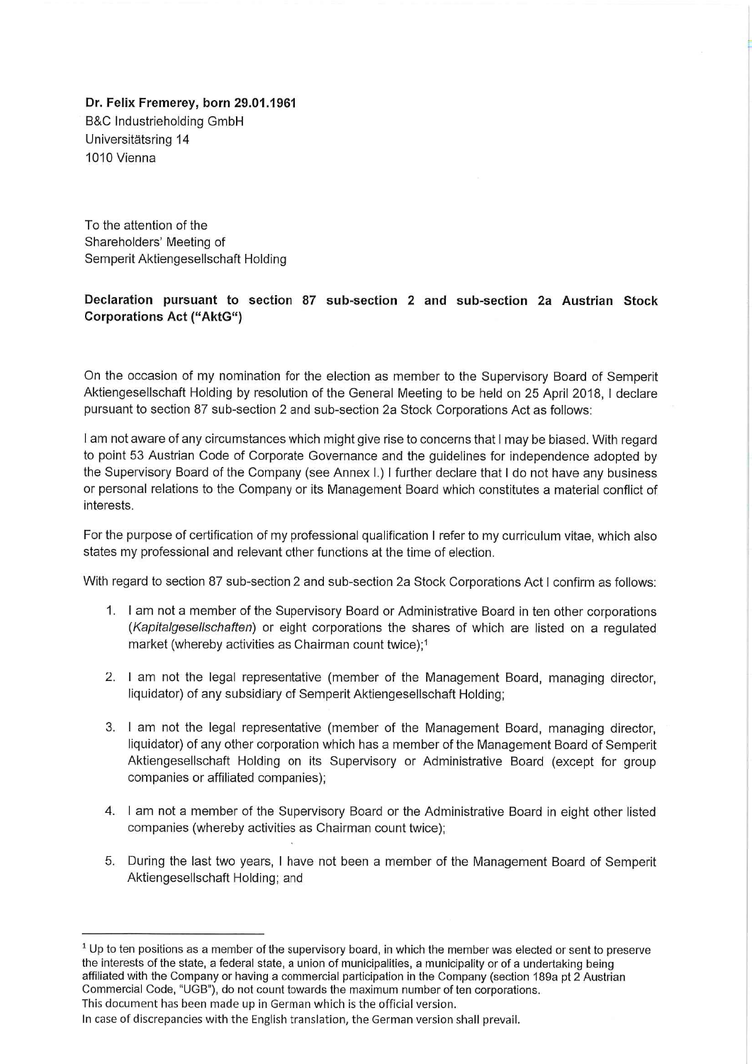Dr. Felix Fremerev, born 29.01.1961 **B&C Industrieholding GmbH** Universitätsring 14 1010 Vienna

To the attention of the Shareholders' Meeting of Semperit Aktiengesellschaft Holding

## Declaration pursuant to section 87 sub-section 2 and sub-section 2a Austrian Stock **Corporations Act ("AktG")**

On the occasion of my nomination for the election as member to the Supervisory Board of Semperit Aktiengesellschaft Holding by resolution of the General Meeting to be held on 25 April 2018, I declare pursuant to section 87 sub-section 2 and sub-section 2a Stock Corporations Act as follows:

I am not aware of any circumstances which might give rise to concerns that I may be biased. With regard to point 53 Austrian Code of Corporate Governance and the guidelines for independence adopted by the Supervisory Board of the Company (see Annex I.) I further declare that I do not have any business or personal relations to the Company or its Management Board which constitutes a material conflict of interests.

For the purpose of certification of my professional qualification I refer to my curriculum vitae, which also states my professional and relevant other functions at the time of election.

With regard to section 87 sub-section 2 and sub-section 2a Stock Corporations Act I confirm as follows:

- 1. I am not a member of the Supervisory Board or Administrative Board in ten other corporations (Kapitalgesellschaften) or eight corporations the shares of which are listed on a regulated market (whereby activities as Chairman count twice):1
- 2. I am not the legal representative (member of the Management Board, managing director, liquidator) of any subsidiary of Semperit Aktiengesellschaft Holding;
- 3. I am not the legal representative (member of the Management Board, managing director, liquidator) of any other corporation which has a member of the Management Board of Semperit Aktiengesellschaft Holding on its Supervisory or Administrative Board (except for group companies or affiliated companies);
- 4. I am not a member of the Supervisory Board or the Administrative Board in eight other listed companies (whereby activities as Chairman count twice);
- 5. During the last two years, I have not been a member of the Management Board of Semperit Aktiengesellschaft Holding; and

 $1$  Up to ten positions as a member of the supervisory board, in which the member was elected or sent to preserve the interests of the state, a federal state, a union of municipalities, a municipality or of a undertaking being affiliated with the Company or having a commercial participation in the Company (section 189a pt 2 Austrian Commercial Code, "UGB"), do not count towards the maximum number of ten corporations.

This document has been made up in German which is the official version.

In case of discrepancies with the English translation, the German version shall prevail.